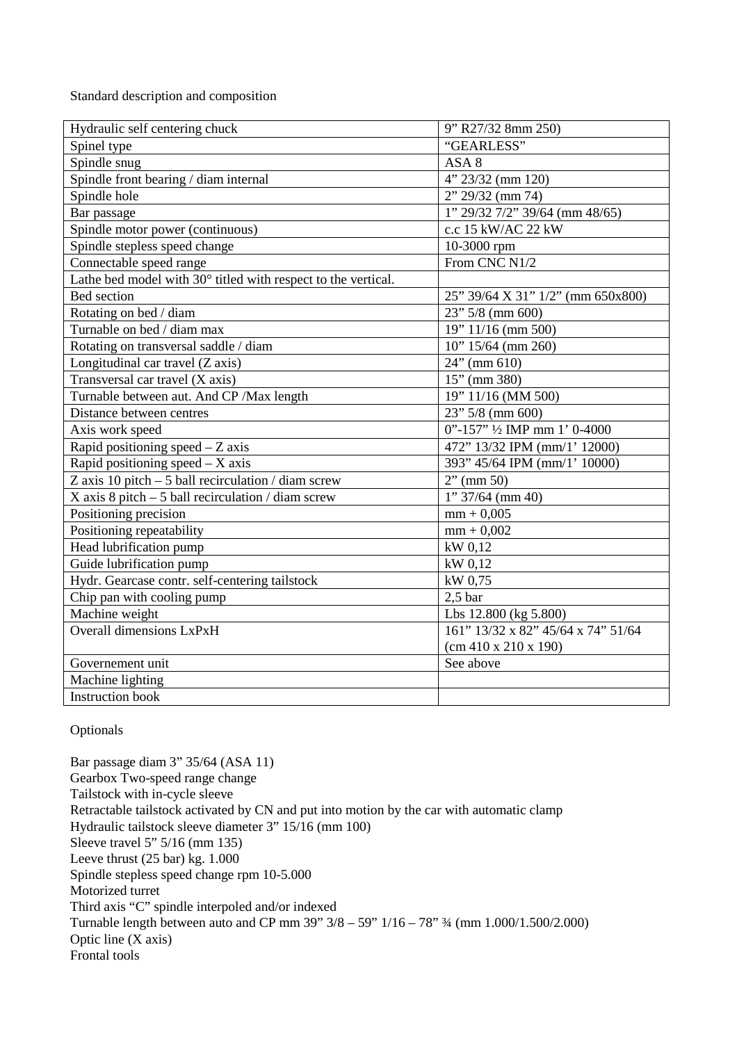Standard description and composition

| Hydraulic self centering chuck                                | 9" R27/32 8mm 250)                 |
|---------------------------------------------------------------|------------------------------------|
| Spinel type                                                   | "GEARLESS"                         |
| Spindle snug                                                  | ASA 8                              |
| Spindle front bearing / diam internal                         | $4'' 23/32$ (mm 120)               |
| Spindle hole                                                  | $2'' 29/32$ (mm 74)                |
| Bar passage                                                   | $1''$ 29/32 7/2" 39/64 (mm 48/65)  |
| Spindle motor power (continuous)                              | c.c 15 kW/AC 22 kW                 |
| Spindle stepless speed change                                 | 10-3000 rpm                        |
| Connectable speed range                                       | From CNC N1/2                      |
| Lathe bed model with 30° titled with respect to the vertical. |                                    |
| Bed section                                                   | 25" 39/64 X 31" 1/2" (mm 650x800)  |
| Rotating on bed / diam                                        | $23"$ 5/8 (mm 600)                 |
| Turnable on bed / diam max                                    | 19" 11/16 (mm 500)                 |
| Rotating on transversal saddle / diam                         | $10" 15/64$ (mm 260)               |
| Longitudinal car travel (Z axis)                              | $24"$ (mm 610)                     |
| Transversal car travel (X axis)                               | $15"$ (mm 380)                     |
| Turnable between aut. And CP / Max length                     | 19" 11/16 (MM 500)                 |
| Distance between centres                                      | 23" 5/8 (mm 600)                   |
| Axis work speed                                               | 0"-157" 1/2 IMP mm 1' 0-4000       |
| Rapid positioning speed $-Z$ axis                             | 472" 13/32 IPM (mm/1' 12000)       |
| Rapid positioning speed $-$ X axis                            | 393" 45/64 IPM (mm/1' 10000)       |
| Z axis 10 pitch $-5$ ball recirculation / diam screw          | $2"$ (mm 50)                       |
| X axis 8 pitch $-5$ ball recirculation / diam screw           | $1''$ 37/64 (mm 40)                |
| Positioning precision                                         | $mm + 0,005$                       |
| Positioning repeatability                                     | $mm + 0,002$                       |
| Head lubrification pump                                       | kW 0,12                            |
| Guide lubrification pump                                      | kW 0,12                            |
| Hydr. Gearcase contr. self-centering tailstock                | kW 0,75                            |
| Chip pan with cooling pump                                    | 2.5 <sub>bar</sub>                 |
| Machine weight                                                | Lbs 12.800 (kg 5.800)              |
| <b>Overall dimensions LxPxH</b>                               | 161" 13/32 x 82" 45/64 x 74" 51/64 |
|                                                               | (cm 410 x 210 x 190)               |
| Governement unit                                              | See above                          |
| Machine lighting                                              |                                    |
| <b>Instruction book</b>                                       |                                    |

## Optionals

Bar passage diam 3" 35/64 (ASA 11) Gearbox Two-speed range change Tailstock with in-cycle sleeve Retractable tailstock activated by CN and put into motion by the car with automatic clamp Hydraulic tailstock sleeve diameter 3" 15/16 (mm 100) Sleeve travel 5" 5/16 (mm 135) Leeve thrust (25 bar) kg. 1.000 Spindle stepless speed change rpm 10-5.000 Motorized turret Third axis "C" spindle interpoled and/or indexed Turnable length between auto and CP mm 39" 3/8 – 59" 1/16 – 78" ¾ (mm 1.000/1.500/2.000) Optic line (X axis) Frontal tools